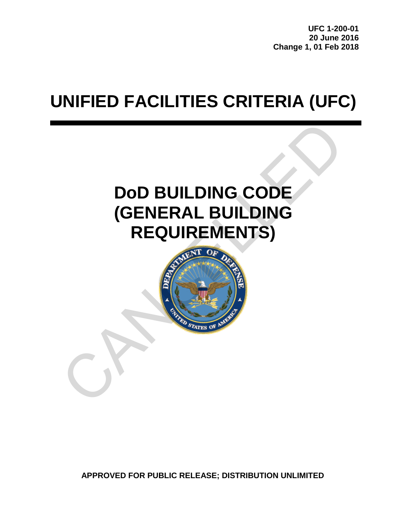# **UNIFIED FACILITIES CRITERIA (UFC)**

# **DoD BUILDING CODE (GENERAL BUILDING REQUIREMENTS)** DoD BUILDING CODE<br>(GENERAL BUILDING<br>REQUIREMENTS)



**APPROVED FOR PUBLIC RELEASE; DISTRIBUTION UNLIMITED**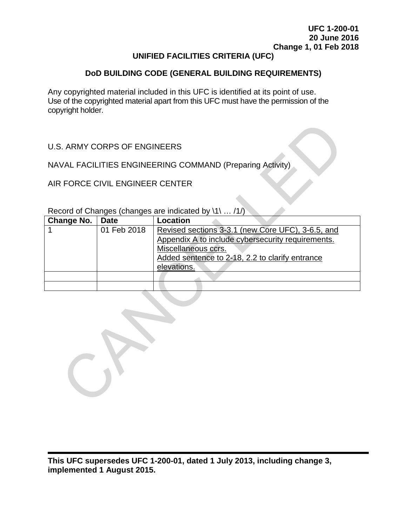# **UNIFIED FACILITIES CRITERIA (UFC)**

# **DoD BUILDING CODE (GENERAL BUILDING REQUIREMENTS)**

Any copyrighted material included in this UFC is identified at its point of use. Use of the copyrighted material apart from this UFC must have the permission of the copyright holder.

| <b>U.S. ARMY CORPS OF ENGINEERS</b>                       |             |                                                                                                                                                                                                 |  |  |
|-----------------------------------------------------------|-------------|-------------------------------------------------------------------------------------------------------------------------------------------------------------------------------------------------|--|--|
| NAVAL FACILITIES ENGINEERING COMMAND (Preparing Activity) |             |                                                                                                                                                                                                 |  |  |
| AIR FORCE CIVIL ENGINEER CENTER                           |             |                                                                                                                                                                                                 |  |  |
| Record of Changes (changes are indicated by \1\  /1/)     |             |                                                                                                                                                                                                 |  |  |
| <b>Change No.</b>                                         | <b>Date</b> | <b>Location</b>                                                                                                                                                                                 |  |  |
|                                                           | 01 Feb 2018 | Revised sections 3-3.1 (new Core UFC), 3-6.5, and<br>Appendix A to include cybersecurity requirements.<br>Miscellaneous ccrs.<br>Added sentence to 2-18, 2.2 to clarify entrance<br>elevations. |  |  |
|                                                           |             |                                                                                                                                                                                                 |  |  |
|                                                           |             |                                                                                                                                                                                                 |  |  |
|                                                           |             |                                                                                                                                                                                                 |  |  |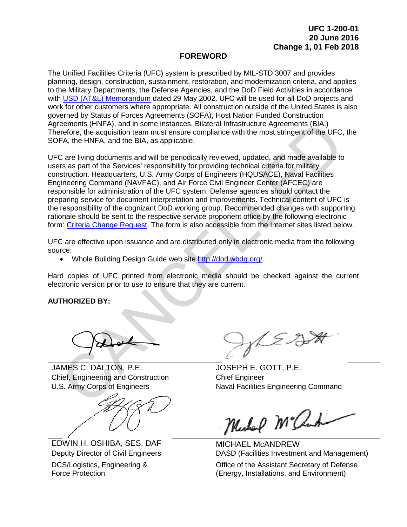#### **FOREWORD**

The Unified Facilities Criteria (UFC) system is prescribed by MIL-STD 3007 and provides planning, design, construction, sustainment, restoration, and modernization criteria, and applies to the Military Departments, the Defense Agencies, and the DoD Field Activities in accordance with [USD \(AT&L\) Memorandum](http://www.wbdg.org/pdfs/ufc_implementation.pdf) dated 29 May 2002. UFC will be used for all DoD projects and work for other customers where appropriate. All construction outside of the United States is also governed by Status of Forces Agreements (SOFA), Host Nation Funded Construction Agreements (HNFA), and in some instances, Bilateral Infrastructure Agreements (BIA.) Therefore, the acquisition team must ensure compliance with the most stringent of the UFC, the SOFA, the HNFA, and the BIA, as applicable.

UFC are living documents and will be periodically reviewed, updated, and made available to users as part of the Services' responsibility for providing technical criteria for military construction. Headquarters, U.S. Army Corps of Engineers (HQUSACE), Naval Facilities Engineering Command (NAVFAC), and Air Force Civil Engineer Center (AFCEC) are responsible for administration of the UFC system. Defense agencies should contact the preparing service for document interpretation and improvements. Technical content of UFC is the responsibility of the cognizant DoD working group. Recommended changes with supporting rationale should be sent to the respective service proponent office by the following electronic form: Criteria Change Request. The form is also accessible from the Internet sites listed below. eements (HIKFA), and in some instances, Bilateral Infrastructure Agreements (BIA, I)<br>refore, the acquisition team must ensure compliance with the most stringent of the UFC,<br>FA, the HNFA, and the BIA, as applicable.<br>Care li

UFC are effective upon issuance and are distributed only in electronic media from the following source:

• Whole Building Design Guide web site http://dod.wbdg.org/.

Hard copies of UFC printed from electronic media should be checked against the current electronic version prior to use to ensure that they are current.

#### **AUTHORIZED BY:**

JAMES C. DALTON, P.E. JOSEPH E. GOTT, P.E. Chief, Engineering and Construction Chief Engineer

EDWIN H. OSHIBA, SES, DAF MICHAEL McANDREW<br>Deputy Director of Civil Engineers DASD (Facilities Investme

DCS/Logistics, Engineering & Force Protection

U.S. Army Corps of Engineers **Naval Facilities Engineering Command** 

Medal McCah

DASD (Facilities Investment and Management)

Office of the Assistant Secretary of Defense (Energy, Installations, and Environment)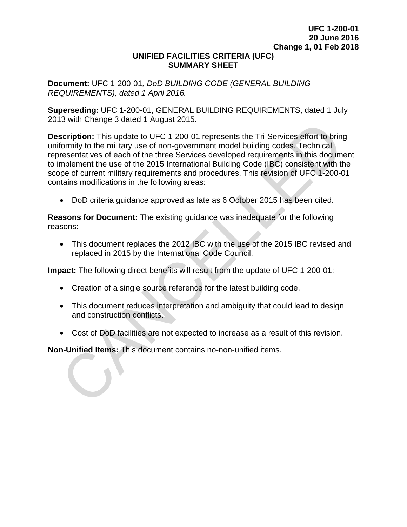#### **UNIFIED FACILITIES CRITERIA (UFC) SUMMARY SHEET**

**Document:** UFC 1-200-01*, DoD BUILDING CODE (GENERAL BUILDING REQUIREMENTS), dated 1 April 2016.*

**Superseding:** UFC 1-200-01, GENERAL BUILDING REQUIREMENTS, dated 1 July 2013 with Change 3 dated 1 August 2015.

**Description:** This update to UFC 1-200-01 represents the Tri-Services effort to bring uniformity to the military use of non-government model building codes. Technical representatives of each of the three Services developed requirements in this document to implement the use of the 2015 International Building Code (IBC) consistent with the scope of current military requirements and procedures. This revision of UFC 1-200-01 contains modifications in the following areas: of this buy date to UFC 1-200-01 represents the Tri-Services effort to bring<br>comption: This update to UFC 1-200-01 represents the Tri-Services effort to bring<br>creasentatives of each of the three Services developed requirem

• DoD criteria guidance approved as late as 6 October 2015 has been cited.

**Reasons for Document:** The existing guidance was inadequate for the following reasons:

• This document replaces the 2012 IBC with the use of the 2015 IBC revised and replaced in 2015 by the International Code Council.

**Impact:** The following direct benefits will result from the update of UFC 1-200-01:

- Creation of a single source reference for the latest building code.
- This document reduces interpretation and ambiguity that could lead to design and construction conflicts.
- Cost of DoD facilities are not expected to increase as a result of this revision.

**Non-Unified Items:** This document contains no-non-unified items.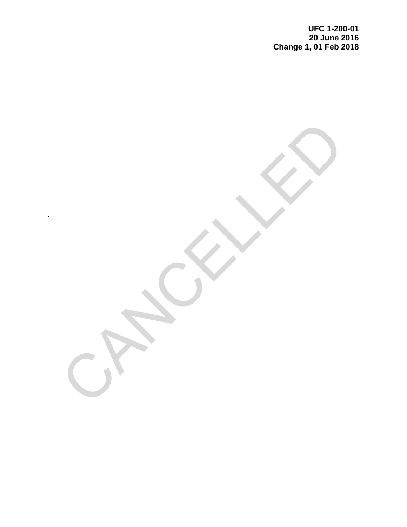CANCELLED

*.*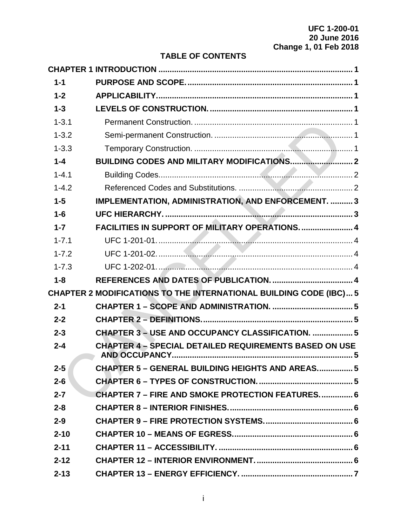# **TABLE OF CONTENTS**

| $1 - 1$   |                                                                    |
|-----------|--------------------------------------------------------------------|
| $1 - 2$   |                                                                    |
| $1 - 3$   |                                                                    |
| $1 - 3.1$ |                                                                    |
| $1 - 3.2$ |                                                                    |
| $1 - 3.3$ |                                                                    |
| $1 - 4$   |                                                                    |
| $1 - 4.1$ |                                                                    |
| $1 - 4.2$ |                                                                    |
| $1 - 5$   | IMPLEMENTATION, ADMINISTRATION, AND ENFORCEMENT.  3                |
| $1 - 6$   |                                                                    |
| $1 - 7$   | <b>FACILITIES IN SUPPORT OF MILITARY OPERATIONS.  4</b>            |
| $1 - 7.1$ |                                                                    |
| $1 - 7.2$ |                                                                    |
| $1 - 7.3$ |                                                                    |
| $1 - 8$   |                                                                    |
|           | CHAPTER 2 MODIFICATIONS TO THE INTERNATIONAL BUILDING CODE (IBC) 5 |
| $2 - 1$   |                                                                    |
| $2 - 2$   |                                                                    |
| $2 - 3$   | CHAPTER 3 - USE AND OCCUPANCY CLASSIFICATION.  5                   |
| $2 - 4$   | <b>CHAPTER 4 - SPECIAL DETAILED REQUIREMENTS BASED ON USE</b>      |
| $2 - 5$   | <b>CHAPTER 5 - GENERAL BUILDING HEIGHTS AND AREAS 5</b>            |
| $2 - 6$   |                                                                    |
| $2 - 7$   | <b>CHAPTER 7 - FIRE AND SMOKE PROTECTION FEATURES 6</b>            |
| $2 - 8$   |                                                                    |
| $2 - 9$   |                                                                    |
| $2 - 10$  |                                                                    |
| $2 - 11$  |                                                                    |
| $2 - 12$  |                                                                    |
| $2 - 13$  |                                                                    |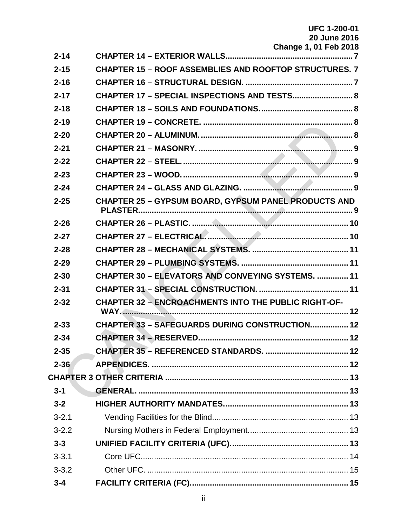**UFC 1-200-01 20 June 2016**

|           | <b>Change 1, 01 Feb 2018</b>                                  |
|-----------|---------------------------------------------------------------|
| $2 - 14$  |                                                               |
| $2 - 15$  | <b>CHAPTER 15 - ROOF ASSEMBLIES AND ROOFTOP STRUCTURES, 7</b> |
| $2 - 16$  |                                                               |
| $2 - 17$  | CHAPTER 17 - SPECIAL INSPECTIONS AND TESTS 8                  |
| $2 - 18$  |                                                               |
| $2 - 19$  |                                                               |
| $2 - 20$  |                                                               |
| $2 - 21$  |                                                               |
| $2 - 22$  |                                                               |
| $2 - 23$  |                                                               |
| $2 - 24$  |                                                               |
| $2 - 25$  | <b>CHAPTER 25 - GYPSUM BOARD, GYPSUM PANEL PRODUCTS AND</b>   |
| $2 - 26$  |                                                               |
| $2 - 27$  |                                                               |
| $2 - 28$  |                                                               |
| $2 - 29$  |                                                               |
| $2 - 30$  | CHAPTER 30 - ELEVATORS AND CONVEYING SYSTEMS.  11             |
| $2 - 31$  |                                                               |
| $2 - 32$  | <b>CHAPTER 32 – ENCROACHMENTS INTO THE PUBLIC RIGHT-OF-</b>   |
| $2 - 33$  | CHAPTER 33 - SAFEGUARDS DURING CONSTRUCTION 12                |
| $2 - 34$  |                                                               |
| $2 - 35$  |                                                               |
| $2 - 36$  |                                                               |
|           |                                                               |
| $3 - 1$   |                                                               |
| $3 - 2$   |                                                               |
| $3 - 2.1$ |                                                               |
| $3 - 2.2$ |                                                               |
| $3 - 3$   |                                                               |
| $3 - 3.1$ |                                                               |
| $3 - 3.2$ |                                                               |
| $3 - 4$   |                                                               |
|           |                                                               |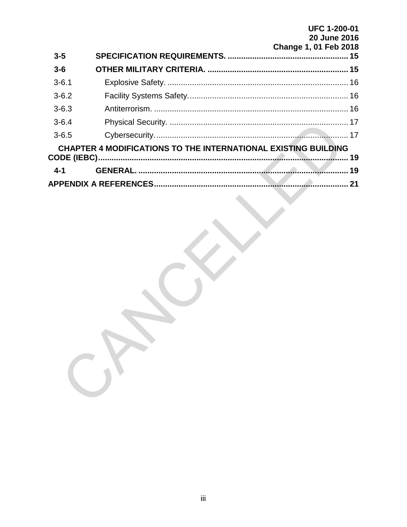| $3 - 5$                                                                     |  | <b>UFC 1-200-01</b><br>20 June 2016<br><b>Change 1, 01 Feb 2018</b> |
|-----------------------------------------------------------------------------|--|---------------------------------------------------------------------|
| $3 - 6$                                                                     |  |                                                                     |
| $3 - 6.1$                                                                   |  |                                                                     |
| $3 - 6.2$                                                                   |  |                                                                     |
| $3 - 6.3$                                                                   |  |                                                                     |
| $3 - 6.4$                                                                   |  |                                                                     |
| $3 - 6.5$                                                                   |  |                                                                     |
| <b>CHAPTER 4 MODIFICATIONS TO THE INTERNATIONAL EXISTING BUILDING</b><br>19 |  |                                                                     |
| $4-1$                                                                       |  |                                                                     |
|                                                                             |  | 21                                                                  |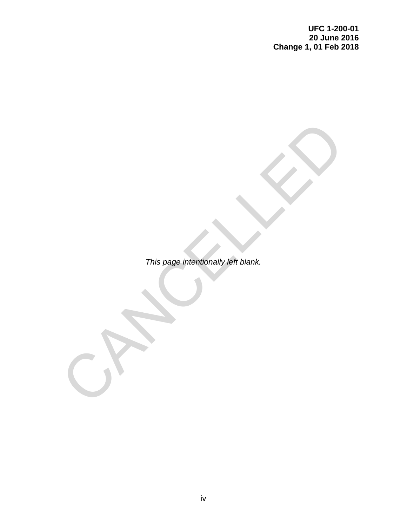*This page intentionally left blank.* This page intentionally left blank.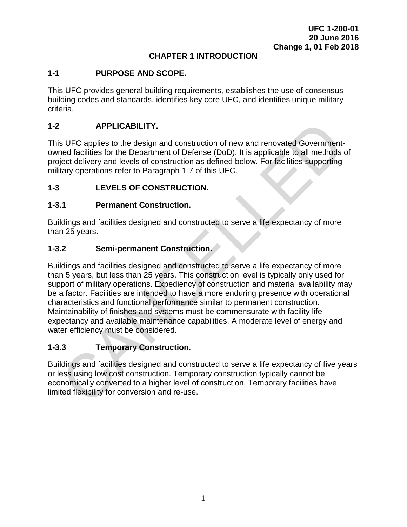#### **CHAPTER 1 INTRODUCTION**

#### <span id="page-9-1"></span><span id="page-9-0"></span>**1-1 PURPOSE AND SCOPE.**

This UFC provides general building requirements, establishes the use of consensus building codes and standards, identifies key core UFC, and identifies unique military criteria.

#### **1-2 APPLICABILITY.**

This UFC applies to the design and construction of new and renovated Governmentowned facilities for the Department of Defense (DoD). It is applicable to all methods of project delivery and levels of construction as defined below. For facilities supporting military operations refer to Paragraph 1-7 of this UFC.

### <span id="page-9-3"></span>**1-3 LEVELS OF CONSTRUCTION.**

#### <span id="page-9-4"></span>**1-3.1 Permanent Construction.**

Buildings and facilities designed and constructed to serve a life expectancy of more than 25 years.

#### <span id="page-9-5"></span>**1-3.2 Semi-permanent Construction.**

<span id="page-9-2"></span>Buildings and facilities designed and constructed to serve a life expectancy of more than 5 years, but less than 25 years. This construction level is typically only used for support of military operations. Expediency of construction and material availability may be a factor. Facilities are intended to have a more enduring presence with operational characteristics and functional performance similar to permanent construction. Maintainability of finishes and systems must be commensurate with facility life expectancy and available maintenance capabilities. A moderate level of energy and water efficiency must be considered. **APPLICABILITY.**<br>
SUFC applies to the design and construction of new and renovated Government-<br>
elect delivites for the Department of Defense (DoD). It is applicable to all methods<br>
tier declivery and levels of constructio

#### <span id="page-9-6"></span>**1-3.3 Temporary Construction.**

Buildings and facilities designed and constructed to serve a life expectancy of five years or less using low cost construction. Temporary construction typically cannot be economically converted to a higher level of construction. Temporary facilities have limited flexibility for conversion and re -use.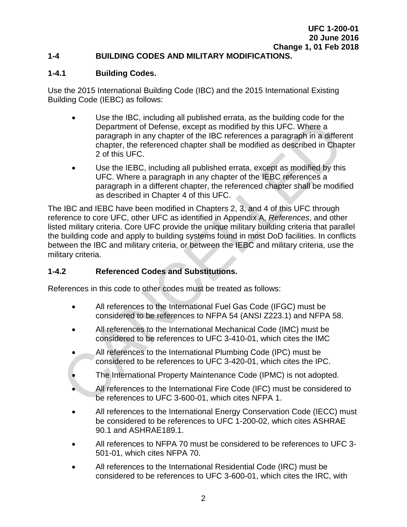#### <span id="page-10-0"></span>**1-4 BUILDING CODES AND MILITARY MODIFICATIONS.**

#### <span id="page-10-1"></span>**1-4.1 Building Codes.**

Use the 2015 International Building Code (IBC) and the 2015 International Existing Building Code (IEBC) as follows:

- Use the IBC, including all published errata, as the building code for the Department of Defense, except as modified by this UFC. Where a paragraph in any chapter of the IBC references a paragraph in a different chapter, the referenced chapter shall be modified as described in Chapter 2 of this UFC.
- Use the IEBC, including all published errata, except as modified by this UFC. Where a paragraph in any chapter of the IEBC references a paragraph in a different chapter, the referenced chapter shall be modified as described in Chapter 4 of this UFC.

The IBC and IEBC have been modified in Chapters 2, 3, and 4 of this UFC through reference to core UFC, other UFC as identified in Appendix A, *References*, and other listed military criteria. Core UFC provide the unique military building criteria that parallel the building code and apply to building systems found in most DoD facilities. In conflicts between the IBC and military criteria, or between the IEBC and military criteria, use the military criteria. Department of Defense, except as modified by this UFC. Where a<br>paragraph in any chapter of the IBC references a paragraph in a different<br>chapter, the referenced chapter shall be modified as described in Chapter<br>2 of this U

#### <span id="page-10-2"></span>**1-4.2 Referenced Codes and Substitutions.**

References in this code to other codes must be treated as follows:

- All references to the International Fuel Gas Code (IFGC) must be considered to be references to NFPA 54 (ANSI Z223.1) and NFPA 58.
- All references to the International Mechanical Code (IMC) must be considered to be references to UFC 3-410-01, which cites the IMC
- All references to the International Plumbing Code (IPC) must be considered to be references to UFC 3-420-01, which cites the IPC.
- The International Property Maintenance Code (IPMC) is not adopted.
- All references to the International Fire Code (IFC) must be considered to be references to UFC 3-600-01, which cites NFPA 1.
- All references to the International Energy Conservation Code (IECC) must be considered to be references to UFC 1-200-02, which cites ASHRAE 90.1 and ASHRAE189.1.
- All references to NFPA 70 must be considered to be references to UFC 3- 501-01, which cites NFPA 70.
- All references to the International Residential Code (IRC) must be considered to be references to UFC 3-600-01, which cites the IRC, with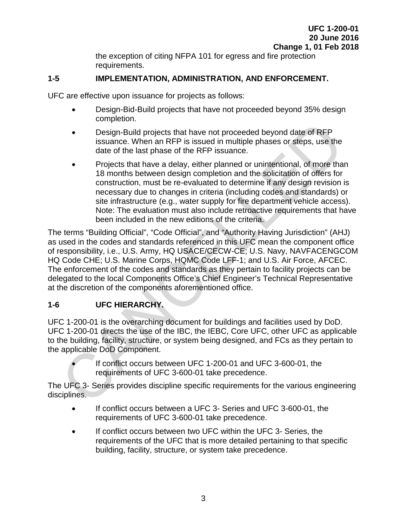the exception of citing NFPA 101 for egress and fire protection requirements.

#### <span id="page-11-0"></span>**1-5 IMPLEMENTATION, ADMINISTRATION, AND ENFORCEMENT.**

UFC are effective upon issuance for projects as follows:

- Design-Bid-Build projects that have not proceeded beyond 35% design completion.
- Design-Build projects that have not proceeded beyond date of RFP issuance. When an RFP is issued in multiple phases or steps, use the date of the last phase of the RFP issuance.
- Projects that have a delay, either planned or unintentional, of more than 18 months between design completion and the solicitation of offers for construction, must be re-evaluated to determine if any design revision is necessary due to changes in criteria (including codes and standards) or site infrastructure (e.g., water supply for fire department vehicle access). Note: The evaluation must also include retroactive requirements that have been included in the new editions of the criteria.

The terms "Building Official", "Code Official", and "Authority Having Jurisdiction" (AHJ) as used in the codes and standards referenced in this UFC mean the component office of responsibility, i.e., U.S. Army, HQ USACE/CECW-CE; U.S. Navy, NAVFACENGCOM HQ Code CHE; U.S. Marine Corps, HQMC Code LFF-1; and U.S. Air Force, AFCEC. The enforcement of the codes and standards as they pertain to facility projects can be delegated to the local Components Office's Chief Engineer's Technical Representative at the discretion of the components aforementioned office. • Design-Build projects that have not proceeded beyond date of RFP<br>
issuance. When an RFP is issued in multiple phases or steps, use the<br>
date of the last phase of the RFP issuance.<br>
Projects that have a delay, either pla

# <span id="page-11-1"></span>**1-6 UFC HIERARCHY.**

UFC 1-200-01 is the overarching document for buildings and facilities used by DoD. UFC 1-200-01 directs the use of the IBC, the IEBC, Core UFC, other UFC as applicable to the building, facility, structure, or system being designed, and FCs as they pertain to the applicable DoD Component.

If conflict occurs between UFC 1-200-01 and UFC 3-600-01, the requirements of UFC 3-600-01 take precedence.

The UFC 3- Series provides discipline specific requirements for the various engineering disciplines.

- If conflict occurs between a UFC 3- Series and UFC 3-600-01, the requirements of UFC 3-600-01 take precedence.
- If conflict occurs between two UFC within the UFC 3- Series, the requirements of the UFC that is more detailed pertaining to that specific building, facility, structure, or system take precedence.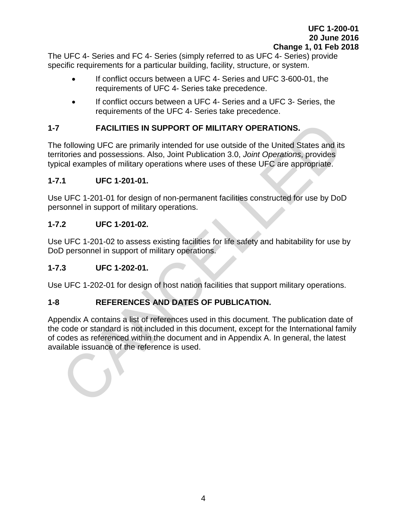The UFC 4- Series and FC 4- Series (simply referred to as UFC 4- Series) provide specific requirements for a particular building, facility, structure, or system.

- If conflict occurs between a UFC 4- Series and UFC 3-600-01, the requirements of UFC 4- Series take precedence.
- If conflict occurs between a UFC 4- Series and a UFC 3- Series, the requirements of the UFC 4- Series take precedence.

### <span id="page-12-0"></span>**1-7 FACILITIES IN SUPPORT OF MILITARY OPERATIONS.**

The following UFC are primarily intended for use outside of the United States and its territories and possessions. Also, Joint Publication 3.0, *Joint Operations*, provides typical examples of military operations where uses of these UFC are appropriate.

#### <span id="page-12-1"></span>**1-7.1 UFC 1-201-01.**

Use UFC 1-201-01 for design of non-permanent facilities constructed for use by DoD personnel in support of military operations.

### <span id="page-12-2"></span>**1-7.2 UFC 1-201-02.**

Use UFC 1-201-02 to assess existing facilities for life safety and habitability for use by DoD personnel in support of military operations.

#### <span id="page-12-3"></span>**1-7.3 UFC 1-202-01.**

Use UFC 1-202-01 for design of host nation facilities that support military operations.

# <span id="page-12-4"></span>**1-8 REFERENCES AND DATES OF PUBLICATION.**

Appendix A contains a list of references used in this document. The publication date of the code or standard is not included in this document, except for the International family of codes as referenced within the document and in Appendix A. In general, the latest available issuance of the reference is used. FACILITIES IN SUPPORT OF MILITARY OPERATIONS.<br>
following UFC are primarily intended for use outside of the United States and its<br>
titories and possessions. Also, Joint Publication 3.0, Joint Operations, provides<br>
cal examp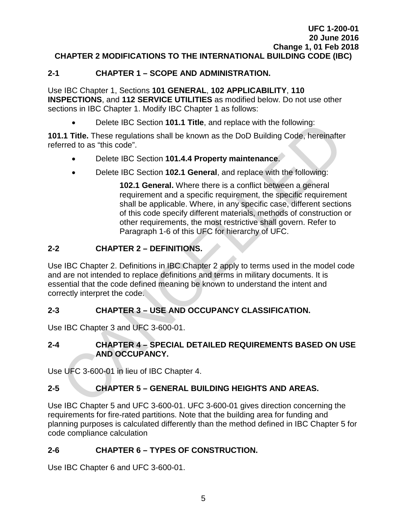#### **UFC 1-200-01 20 June 2016 Change 1, 01 Feb 2018 CHAPTER 2 MODIFICATIONS TO THE INTERNATIONAL BUILDING CODE (IBC)**

### <span id="page-13-1"></span><span id="page-13-0"></span>**2-1 CHAPTER 1 – SCOPE AND ADMINISTRATION.**

Use IBC Chapter 1, Sections **101 GENERAL**, **102 APPLICABILITY**, **110 INSPECTIONS**, and **112 SERVICE UTILITIES** as modified below. Do not use other sections in IBC Chapter 1. Modify IBC Chapter 1 as follows:

• Delete IBC Section **101.1 Title**, and replace with the following:

**101.1 Title.** These regulations shall be known as the DoD Building Code, hereinafter referred to as "this code".

- Delete IBC Section **101.4.4 Property maintenance**.
- Delete IBC Section **102.1 General**, and replace with the following:

**102.1 General.** Where there is a conflict between a general requirement and a specific requirement, the specific requirement shall be applicable. Where, in any specific case, different sections of this code specify different materials, methods of construction or other requirements, the most restrictive shall govern. Refer to Paragraph 1-6 of this UFC for hierarchy of UFC. • Delete IBC Section 101.1 Title, and replace with the following:<br>
1 Title. These regulations shall be known as the DoD Building Code, hereinafted<br>
First Chiese regulations shall be known as the DoD Building Code, herein

#### <span id="page-13-2"></span>**2-2 CHAPTER 2 – DEFINITIONS.**

Use IBC Chapter 2. Definitions in IBC Chapter 2 apply to terms used in the model code and are not intended to replace definitions and terms in military documents. It is essential that the code defined meaning be known to understand the intent and correctly interpret the code.

#### <span id="page-13-3"></span>**2-3 CHAPTER 3 – USE AND OCCUPANCY CLASSIFICATION.**

Use IBC Chapter 3 and UFC 3-600-01.

#### <span id="page-13-4"></span>**2-4 CHAPTER 4 – SPECIAL DETAILED REQUIREMENTS BASED ON USE AND OCCUPANCY.**

Use UFC 3-600-01 in lieu of IBC Chapter 4.

#### <span id="page-13-5"></span>**2-5 CHAPTER 5 – GENERAL BUILDING HEIGHTS AND AREAS.**

Use IBC Chapter 5 and UFC 3-600-01. UFC 3-600-01 gives direction concerning the requirements for fire-rated partitions. Note that the building area for funding and planning purposes is calculated differently than the method defined in IBC Chapter 5 for code compliance calculation

#### <span id="page-13-6"></span>**2-6 CHAPTER 6 – TYPES OF CONSTRUCTION.**

Use IBC Chapter 6 and UFC 3-600-01.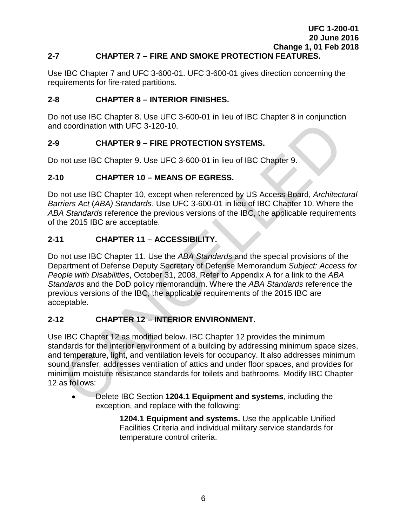#### **UFC 1-200-01 20 June 2016 Change 1, 01 Feb 2018 2-7 CHAPTER 7 – FIRE AND SMOKE PROTECTION FEATURES.**

<span id="page-14-0"></span>Use IBC Chapter 7 and UFC 3-600-01. UFC 3-600-01 gives direction concerning the requirements for fire-rated partitions.

# <span id="page-14-1"></span>**2-8 CHAPTER 8 – INTERIOR FINISHES.**

Do not use IBC Chapter 8. Use UFC 3-600-01 in lieu of IBC Chapter 8 in conjunction and coordination with UFC 3-120-10.

# <span id="page-14-2"></span>**2-9 CHAPTER 9 – FIRE PROTECTION SYSTEMS.**

Do not use IBC Chapter 9. Use UFC 3-600-01 in lieu of IBC Chapter 9.

# <span id="page-14-3"></span>**2-10 CHAPTER 10 – MEANS OF EGRESS.**

Do not use IBC Chapter 10, except when referenced by US Access Board, *Architectural Barriers Act* (*ABA) Standards*. Use UFC 3-600-01 in lieu of IBC Chapter 10. Where the *ABA Standards* reference the previous versions of the IBC, the applicable requirements of the 2015 IBC are acceptable.

# <span id="page-14-4"></span>**2-11 CHAPTER 11 – ACCESSIBILITY.**

Do not use IBC Chapter 11. Use the *ABA Standards* and the special provisions of the Department of Defense Deputy Secretary of Defense Memorandum *Subject: Access for People with Disabilities*, October 31, 2008. Refer to Appendix A for a link to the *ABA Standards* and the DoD policy memorandum. Where the *ABA Standards* reference the previous versions of the IBC, the applicable requirements of the 2015 IBC are acceptable.

# <span id="page-14-5"></span>**2-12 CHAPTER 12 – INTERIOR ENVIRONMENT.**

Use IBC Chapter 12 as modified below. IBC Chapter 12 provides the minimum standards for the interior environment of a building by addressing minimum space sizes, and temperature, light, and ventilation levels for occupancy. It also addresses minimum sound transfer, addresses ventilation of attics and under floor spaces, and provides for minimum moisture resistance standards for toilets and bathrooms. Modify IBC Chapter 12 as follows: Condination with UFC 3-120-10.<br>
CHAPTER 9 – FIRE PROTECTION SYSTEMS.<br>
not use IBC Chapter 9. Use UFC 3-600-01 in lieu of IBC Chapter 9.<br>
0 CHAPTER 10 – MEANS OF EGRESS.<br>
not use IBC Chapter 10, except when referenced by US

• Delete IBC Section **1204.1 Equipment and systems**, including the exception, and replace with the following:

> **1204.1 Equipment and systems.** Use the applicable Unified Facilities Criteria and individual military service standards for temperature control criteria.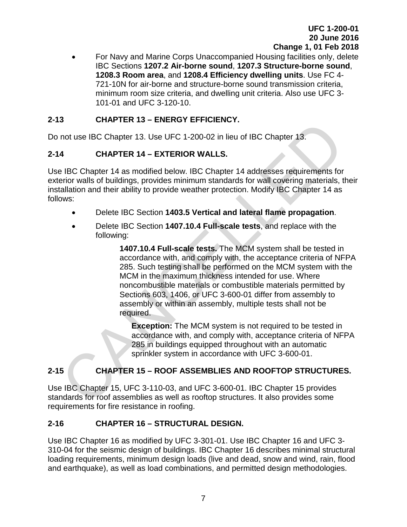• For Navy and Marine Corps Unaccompanied Housing facilities only, delete IBC Sections **1207.2 Air-borne sound**, **1207.3 Structure-borne sound**, **1208.3 Room area**, and **1208.4 Efficiency dwelling units**. Use FC 4- 721-10N for air-borne and structure-borne sound transmission criteria, minimum room size criteria, and dwelling unit criteria. Also use UFC 3- 101-01 and UFC 3-120-10.

# <span id="page-15-0"></span>**2-13 CHAPTER 13 – ENERGY EFFICIENCY.**

Do not use IBC Chapter 13. Use UFC 1-200-02 in lieu of IBC Chapter 13.

# <span id="page-15-1"></span>**2-14 CHAPTER 14 – EXTERIOR WALLS.**

Use IBC Chapter 14 as modified below. IBC Chapter 14 addresses requirements for exterior walls of buildings, provides minimum standards for wall covering materials, their installation and their ability to provide weather protection. Modify IBC Chapter 14 as follows:

- Delete IBC Section **1403.5 Vertical and lateral flame propagation**.
- Delete IBC Section **1407.10.4 Full-scale tests**, and replace with the following:

**1407.10.4 Full-scale tests.** The MCM system shall be tested in accordance with, and comply with, the acceptance criteria of NFPA 285. Such testing shall be performed on the MCM system with the MCM in the maximum thickness intended for use. Where noncombustible materials or combustible materials permitted by Sections 603, 1406, or UFC 3-600-01 differ from assembly to assembly or within an assembly, multiple tests shall not be required. oritical LER 13 – LERINCH LETTENLINGT:<br>
19 – LERINCH LETTENLINGT:<br>
19 – CHAPTER 14 – EXTERIOR WALLS.<br>
19 – CHAPTER 14 – EXTERIOR WALLS.<br>
19 – IBC Chapter 14 as modified below. IBC Chapter 14 addresses requirements for<br>
rei

**Exception:** The MCM system is not required to be tested in accordance with, and comply with, acceptance criteria of NFPA 285 in buildings equipped throughout with an automatic sprinkler system in accordance with UFC 3-600-01.

# <span id="page-15-2"></span>**2-15 CHAPTER 15 – ROOF ASSEMBLIES AND ROOFTOP STRUCTURES.**

Use IBC Chapter 15, UFC 3-110-03, and UFC 3-600-01. IBC Chapter 15 provides standards for roof assemblies as well as rooftop structures. It also provides some requirements for fire resistance in roofing.

# <span id="page-15-3"></span>**2-16 CHAPTER 16 – STRUCTURAL DESIGN.**

Use IBC Chapter 16 as modified by UFC 3-301-01. Use IBC Chapter 16 and UFC 3- 310-04 for the seismic design of buildings. IBC Chapter 16 describes minimal structural loading requirements, minimum design loads (live and dead, snow and wind, rain, flood and earthquake), as well as load combinations, and permitted design methodologies.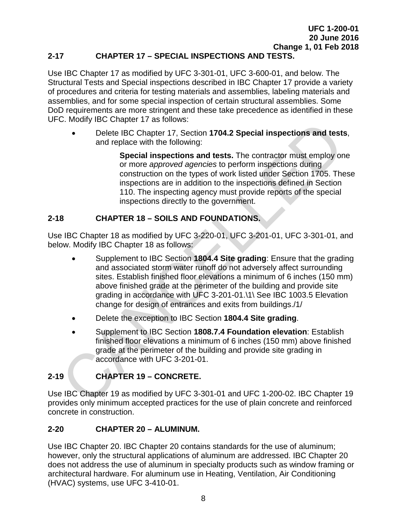# <span id="page-16-0"></span>**2-17 CHAPTER 17 – SPECIAL INSPECTIONS AND TESTS.**

Use IBC Chapter 17 as modified by UFC 3-301-01, UFC 3-600-01, and below. The Structural Tests and Special inspections described in IBC Chapter 17 provide a variety of procedures and criteria for testing materials and assemblies, labeling materials and assemblies, and for some special inspection of certain structural assemblies. Some DoD requirements are more stringent and these take precedence as identified in these UFC. Modify IBC Chapter 17 as follows:

• Delete IBC Chapter 17, Section **1704.2 Special inspections and tests**, and replace with the following:

> **Special inspections and tests.** The contractor must employ one or more *approved agencies* to perform inspections during construction on the types of work listed under Section 1705. These inspections are in addition to the inspections defined in Section 110. The inspecting agency must provide reports of the special inspections directly to the government.

# <span id="page-16-1"></span>**2-18 CHAPTER 18 – SOILS AND FOUNDATIONS.**

Use IBC Chapter 18 as modified by UFC 3-220-01, UFC 3-201-01, UFC 3-301-01, and below. Modify IBC Chapter 18 as follows:

- Supplement to IBC Section **1804.4 Site grading**: Ensure that the grading and associated storm water runoff do not adversely affect surrounding sites. Establish finished floor elevations a minimum of 6 inches (150 mm) above finished grade at the perimeter of the building and provide site grading in accordance with UFC 3-201-01.\1\ See IBC 1003.5 Elevation change for design of entrances and exits from buildings./1/ • Delete IBC Chapter 17, Section 1704.2 Special inspections and test<br>
and replace with the following:<br>
Special inspections and tests. The contractor must employ or<br>
or more approved agencies to perform inspections during<br>
	- Delete the exception to IBC Section **1804.4 Site grading**.
	- Supplement to IBC Section **1808.7.4 Foundation elevation**: Establish finished floor elevations a minimum of 6 inches (150 mm) above finished grade at the perimeter of the building and provide site grading in accordance with UFC 3-201-01.

# <span id="page-16-2"></span>**2-19 CHAPTER 19 – CONCRETE.**

Use IBC Chapter 19 as modified by UFC 3-301-01 and UFC 1-200-02. IBC Chapter 19 provides only minimum accepted practices for the use of plain concrete and reinforced concrete in construction.

# <span id="page-16-3"></span>**2-20 CHAPTER 20 – ALUMINUM.**

Use IBC Chapter 20. IBC Chapter 20 contains standards for the use of aluminum; however, only the structural applications of aluminum are addressed. IBC Chapter 20 does not address the use of aluminum in specialty products such as window framing or architectural hardware. For aluminum use in Heating, Ventilation, Air Conditioning (HVAC) systems, use UFC 3-410-01.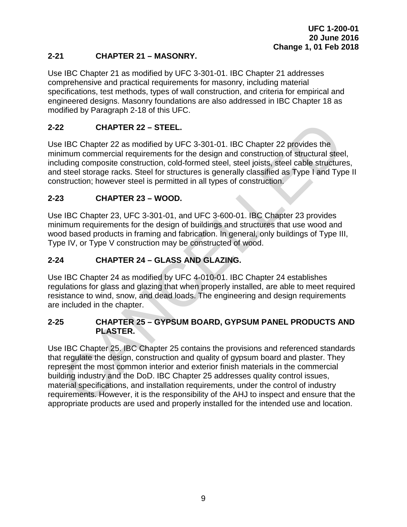# <span id="page-17-0"></span>**2-21 CHAPTER 21 – MASONRY.**

Use IBC Chapter 21 as modified by UFC 3-301-01. IBC Chapter 21 addresses comprehensive and practical requirements for masonry, including material specifications, test methods, types of wall construction, and criteria for empirical and engineered designs. Masonry foundations are also addressed in IBC Chapter 18 as modified by Paragraph [2-18](#page-16-1) of this UFC.

# <span id="page-17-1"></span>**2-22 CHAPTER 22 – STEEL.**

Use IBC Chapter 22 as modified by UFC 3-301-01. IBC Chapter 22 provides the minimum commercial requirements for the design and construction of structural steel, including composite construction, cold-formed steel, steel joists, steel cable structures, and steel storage racks. Steel for structures is generally classified as Type I and Type II construction; however steel is permitted in all types of construction.

### <span id="page-17-2"></span>**2-23 CHAPTER 23 – WOOD.**

Use IBC Chapter 23, UFC 3-301-01, and UFC 3-600-01. IBC Chapter 23 provides minimum requirements for the design of buildings and structures that use wood and wood based products in framing and fabrication. In general, only buildings of Type III, Type IV, or Type V construction may be constructed of wood.

#### <span id="page-17-3"></span>**2-24 CHAPTER 24 – GLASS AND GLAZING.**

Use IBC Chapter 24 as modified by UFC 4-010-01. IBC Chapter 24 establishes regulations for glass and glazing that when properly installed, are able to meet required resistance to wind, snow, and dead loads. The engineering and design requirements are included in the chapter.

#### <span id="page-17-4"></span>**2-25 CHAPTER 25 – GYPSUM BOARD, GYPSUM PANEL PRODUCTS AND PLASTER.**

Use IBC Chapter 25. IBC Chapter 25 contains the provisions and referenced standards that regulate the design, construction and quality of gypsum board and plaster. They represent the most common interior and exterior finish materials in the commercial building industry and the DoD. IBC Chapter 25 addresses quality control issues, material specifications, and installation requirements, under the control of industry requirements. However, it is the responsibility of the AHJ to inspect and ensure that the appropriate p roducts are used and properly installed for the intended use and location.2 CHAPTER 22 – STEEL.<br>
1 BC Chapter 22 as modified by UFC 3-301-01. IBC Chapter 22 provides the<br>
inturn commercial requirements for the design and construction of structural steel<br>
uding composite construction, cold-formed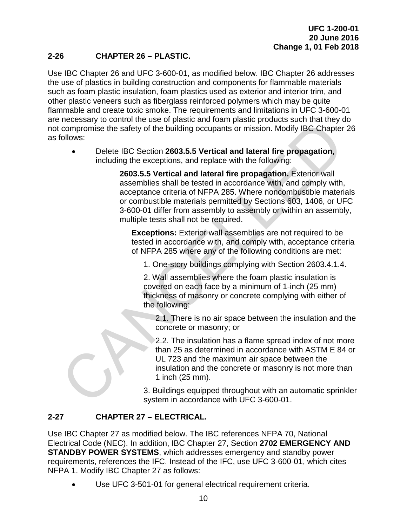# <span id="page-18-0"></span>**2-26 CHAPTER 26 – PLASTIC.**

Use IBC Chapter 26 and UFC 3-600-01, as modified below. IBC Chapter 26 addresses the use of plastics in building construction and components for flammable materials such as foam plastic insulation, foam plastics used as exterior and interior trim, and other plastic veneers such as fiberglass reinforced polymers which may be quite flammable and create toxic smoke. The requirements and limitations in UFC 3-600-01 are necessary to control the use of plastic and foam plastic products such that they do not compromise the safety of the building occupants or mission. Modify IBC Chapter 26 as follows:

• Delete IBC Section **2603.5.5 Vertical and lateral fire propagation**, including the exceptions, and replace with the following:

**2603.5.5 Vertical and lateral fire propagation.** Exterior wall assemblies shall be tested in accordance with, and comply with, acceptance criteria of NFPA 285. Where noncombustible materials or combustible materials permitted by Sections 603, 1406, or UFC 3-600-01 differ from assembly to assembly or within an assembly, multiple tests shall not be required. Conservative to the building occupants or mission. Modify IBC Chapter<br>
compromise the safety of the building occupants or mission. Modify IBC Chapter<br>
cillows:<br>
Delete IBC Section 2603.5.5 Vertical and lateral fire propaga

**Exceptions:** Exterior wall assemblies are not required to be tested in accordance with, and comply with, acceptance criteria of NFPA 285 where any of the following conditions are met:

1. One-story buildings complying with Section 2603.4.1.4.

2. Wall assemblies where the foam plastic insulation is covered on each face by a minimum of 1-inch (25 mm) thickness of masonry or concrete complying with either of the following:

2.1. There is no air space between the insulation and the concrete or masonry; or

2.2. The insulation has a flame spread index of not more than 25 as determined in accordance with ASTM E 84 or UL 723 and the maximum air space between the insulation and the concrete or masonry is not more than 1 inch (25 mm).

3. Buildings equipped throughout with an automatic sprinkler system in accordance with UFC 3-600-01.

#### <span id="page-18-1"></span>**2-27 CHAPTER 27 – ELECTRICAL.**

Use IBC Chapter 27 as modified below. The IBC references NFPA 70, National Electrical Code (NEC). In addition, IBC Chapter 27, Section **2702 EMERGENCY AND STANDBY POWER SYSTEMS**, which addresses emergency and standby power requirements, references the IFC. Instead of the IFC, use UFC 3-600-01, which cites NFPA 1. Modify IBC Chapter 27 as follows:

Use UFC 3-501-01 for general electrical requirement criteria.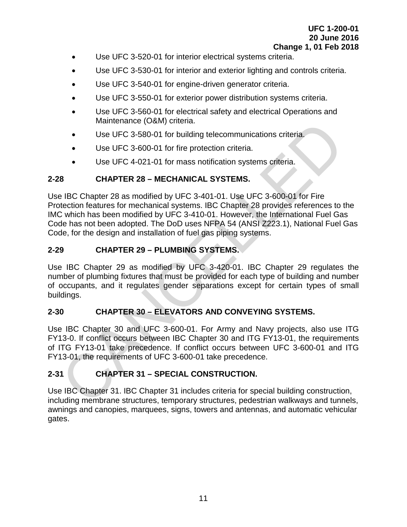- Use UFC 3-520-01 for interior electrical systems criteria.
- Use UFC 3-530-01 for interior and exterior lighting and controls criteria.
- Use UFC 3-540-01 for engine-driven generator criteria.
- Use UFC 3-550-01 for exterior power distribution systems criteria.
- Use UFC 3-560-01 for electrical safety and electrical Operations and Maintenance (O&M) criteria.
- Use UFC 3-580-01 for building telecommunications criteria.
- Use UFC 3-600-01 for fire protection criteria.
- Use UFC 4-021-01 for mass notification systems criteria.

### <span id="page-19-0"></span>**2-28 CHAPTER 28 – MECHANICAL SYSTEMS.**

Use IBC Chapter 28 as modified by UFC 3-401-01. Use UFC 3-600-01 for Fire Protection features for mechanical systems. IBC Chapter 28 provides references to the IMC which has been modified by UFC 3-410-01. However, the International Fuel Gas Code has not been adopted. The DoD uses NFPA 54 (ANSI Z223.1), National Fuel Gas Code, for the design and installation of fuel gas piping systems. via interlative (Oativ) clienta.<br>
Use UFC 3-580-01 for building telecommunications criteria.<br>
Use UFC 3-600-01 for fire protection criteria.<br>
BIEC Chapter 28 as modified by UFC 3-401-01. Use UFC 3-600-01 for Fire<br>
tection

# <span id="page-19-1"></span>**2-29 CHAPTER 29 – PLUMBING SYSTEMS.**

Use IBC Chapter 29 as modified by UFC 3-420-01. IBC Chapter 29 regulates the number of plumbing fixtures that must be provided for each type of building and number of occupants, and it regulates gender separations except for certain types of small buildings.

#### <span id="page-19-2"></span>**2-30 CHAPTER 30 – ELEVATORS AND CONVEYING SYSTEMS.**

Use IBC Chapter 30 and UFC 3-600-01. For Army and Navy projects, also use ITG FY13-0. If conflict occurs between IBC Chapter 30 and ITG FY13-01, the requirements of ITG FY13-01 take precedence. If conflict occurs between UFC 3-600-01 and ITG FY13-01, the requirements of UFC 3-600-01 take precedence.

# <span id="page-19-3"></span>**2-31 CHAPTER 31 – SPECIAL CONSTRUCTION.**

Use IBC Chapter 31. IBC Chapter 31 includes criteria for special building construction, including membrane structures, temporary structures, pedestrian walkways and tunnels, awnings and canopies, marquees, signs, towers and antennas, and automatic vehicular gates.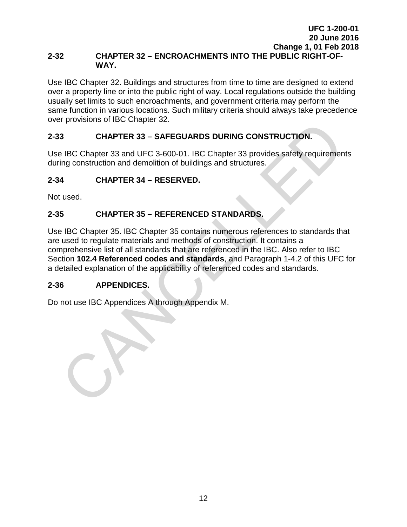#### **UFC 1-200-01 20 June 2016 Change 1, 01 Feb 2018 2-32 CHAPTER 32 – ENCROACHMENTS INTO THE PUBLIC RIGHT-OF-WAY.**

<span id="page-20-0"></span>Use IBC Chapter 32. Buildings and structures from time to time are designed to extend over a property line or into the public right of way. Local regulations outside the building usually set limits to such encroachments, and government criteria may perform the same function in various locations. Such military criteria should always take precedence over provisions of IBC Chapter 32.

### <span id="page-20-1"></span>**2-33 CHAPTER 33 – SAFEGUARDS DURING CONSTRUCTION.**

Use IBC Chapter 33 and UFC 3-600-01. IBC Chapter 33 provides safety requirements during construction and demolition of buildings and structures.

### <span id="page-20-2"></span>**2-34 CHAPTER 34 – RESERVED.**

Not used.

# <span id="page-20-3"></span>**2-35 CHAPTER 35 – REFERENCED STANDARDS.**

Use IBC Chapter 35. IBC Chapter 35 contains numerous references to standards that are used to regulate materials and methods of construction. It contains a comprehensive list of all standards that are referenced in the IBC. Also refer to IBC Section **102.4 Referenced codes and standards**, and Paragraph 1-4.2 of this UFC for a detailed explanation of the applicability of referenced codes and standards. 3<br>
3 CHAPTER 33 – SAFEGUARDS DURING CONSTRUCTION.<br>
BIEC chapter 33 and UFC 3-600-01. IBC Chapter 33 provides safety requirement<br>
ing construction and demolition of buildings and structures.<br>
4 CHAPTER 34 – RESERVED.<br>
USE C

# <span id="page-20-4"></span>**2-36 APPENDICES.**

Do not use IBC Appendices A through Appendix M.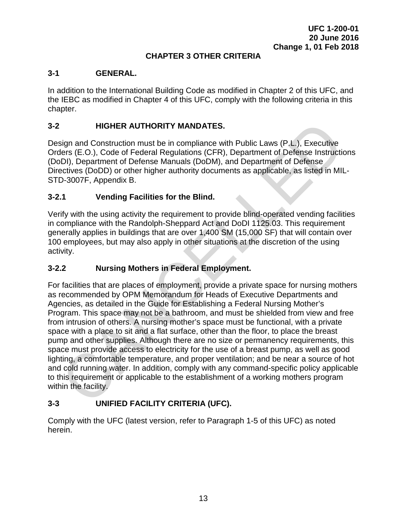#### **CHAPTER 3 OTHER CRITERIA**

#### <span id="page-21-1"></span><span id="page-21-0"></span>**3-1 GENERAL.**

In addition to the International Building Code as modified in Chapter 2 of this UFC, and the IEBC as modified in Chapter 4 of this UFC, comply with the following criteria in this chapter.

#### **3-2 HIGHER AUTHORITY MANDATES.**

Design and Construction must be in compliance with Public Laws (P.L.), Executive Orders (E.O.), Code of Federal Regulations (CFR), Department of Defense Instructions (DoDI), Department of Defense Manuals (DoDM), and Department of Defense Directives (DoDD) or other higher authority documents as applicable, as listed in MIL-STD-3007F, Appendix B.

#### <span id="page-21-3"></span>**3-2.1 Vending Facilities for the Blind.**

Verify with the using activity the requirement to provide blind-operated vending facilities in compliance with the Randolph-Sheppard Act and DoDI 1125.03. This requirement generally applies in buildings that are over 1,400 SM (15,000 SF) that will contain over 100 employees, but may also apply in other situations at the discretion of the using activity.

#### <span id="page-21-4"></span>**3-2.2 Nursing Mothers in Federal Employment.**

<span id="page-21-2"></span>For facilities that are places of employment, provide a private space for nursing mothers as recommended by OPM Memorandum for Heads of Executive Departments and Agencies, as detailed in the Guide for Establishing a Federal Nursing Mother's Program. This space may not be a bathroom, and must be shielded from view and free from intrusion of others. A nursing mother's space must be functional, with a private space with a place to sit and a flat surface, other than the floor, to place the breast pump and other supplies. Although there are no size or permanency requirements, this space must provide access to electricity for the use of a breast pump, as well as good lighting, a comfortable temperature, and proper ventilation; and be near a source of hot and cold running water. In addition, comply with any command-specific policy applicable to this requirement or applicable to the establishment of a working mothers program within the facility. **HIGHER AUTHORITY MANDATES.**<br>
Sign and Construction must be in compliance with Public Laws (P.L.), Executive<br>
ters (E.O.), Coef of Federal Regulations (CFR), Department of Defense Instruction<br>
CD, Department of Defense Man

# <span id="page-21-5"></span>**3-3 UNIFIED FACILITY CRITERIA (UFC).**

Comply with the UFC (latest version, refer to Paragraph 1-5 of this UFC) as noted herein.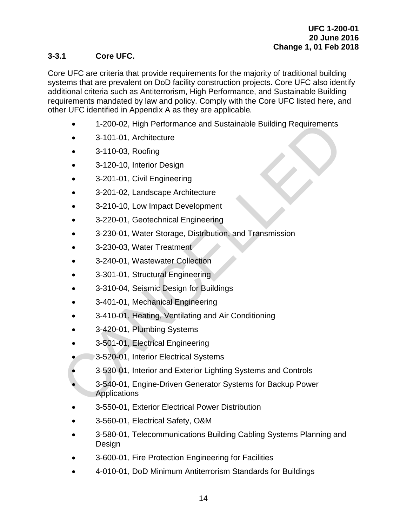# <span id="page-22-0"></span>**3-3.1 Core UFC.**

Core UFC are criteria that provide requirements for the majority of traditional building systems that are prevalent on DoD facility construction projects. Core UFC also identify additional criteria such as Antiterrorism, High Performance, and Sustainable Building requirements mandated by law and policy. Comply with the Core UFC listed here, and other UFC identified in Appendix A as they are applicable*.* 

- 1-200-02, High Performance and Sustainable Building Requirements
- 3-101-01, Architecture
- 3-110-03, Roofing
- 3-120-10, Interior Design
- 3-201-01, Civil Engineering
- 3-201-02, Landscape Architecture
- 3-210-10, Low Impact Development
- 3-220-01, Geotechnical Engineering
- 3-230-01, Water Storage, Distribution, and Transmission
- 3-230-03, Water Treatment
- 3-240-01, Wastewater Collection
- 3-301-01, Structural Engineering
- 3-310-04, Seismic Design for Buildings
- 3-401-01, Mechanical Engineering
- 3-410-01, Heating, Ventilating and Air Conditioning
- 3-420-01, Plumbing Systems
- 3-501-01, Electrical Engineering
- 3-520-01, Interior Electrical Systems
- 3-530-01, Interior and Exterior Lighting Systems and Controls
- 3-540-01, Engine-Driven Generator Systems for Backup Power **Applications** 1200-02, High Performance and Sustainable Building Requirements<br>
3-101-01, Architecture<br>
3-101-03, Roofing<br>
3-201-01, Interior Design<br>
3-201-01, Civil Engineering<br>
13-201-01, Civil Engineering<br>
3-201-01, Civil Engineering<br>
	- 3-550-01, Exterior Electrical Power Distribution
	- 3-560-01, Electrical Safety, O&M
	- 3-580-01, Telecommunications Building Cabling Systems Planning and Design
	- 3-600-01, Fire Protection Engineering for Facilities
	- 4-010-01, DoD Minimum Antiterrorism Standards for Buildings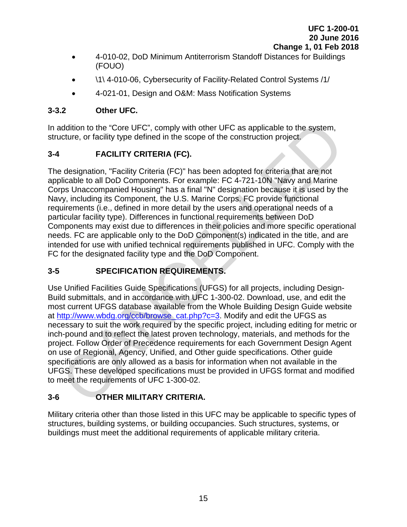- 4-010-02, DoD Minimum Antiterrorism Standoff Distances for Buildings (FOUO)
- \1\ 4-010-06, Cybersecurity of Facility-Related Control Systems /1/
- 4-021-01, Design and O&M: Mass Notification Systems

#### <span id="page-23-0"></span>**3-3.2 Other UFC.**

In addition to the "Core UFC", comply with other UFC as applicable to the system, structure, or facility type defined in the scope of the construction project.

# <span id="page-23-1"></span>**3-4 FACILITY CRITERIA (FC).**

The designation, "Facility Criteria (FC)" has been adopted for criteria that are not applicable to all DoD Components. For example: FC 4-721-10N "Navy and Marine Corps Unaccompanied Housing" has a final "N" designation because it is used by the Navy, including its Component, the U.S. Marine Corps. FC provide functional requirements (i.e., defined in more detail by the users and operational needs of a particular facility type). Differences in functional requirements between DoD Components may exist due to differences in their policies and more specific operational needs. FC are applicable only to the DoD Component(s) indicated in the title, and are intended for use with unified technical requirements published in UFC. Comply with the FC for the designated facility type and the DoD Component.

# <span id="page-23-2"></span>**3-5 SPECIFICATION REQUIREMENTS.**

Use Unified Facilities Guide Specifications (UFGS) for all projects, including Design-Build submittals, and in accordance with UFC 1-300-02. Download, use, and edit the most current UFGS database available from the Whole Building Design Guide website at http://www.wbdg.org/ccb/browse\_cat.php?c=3. Modify and edit the UFGS as necessary to suit the work required by the specific project, including editing for metric or inch-pound and to reflect the latest proven technology, materials, and methods for the project. Follow Order of Precedence requirements for each Government Design Agent on use of Regional, Agency, Unified, and Other guide specifications. Other guide specifications are only allowed as a basis for information when not available in the UFGS. These developed specifications must be provided in UFGS format and modified to meet the requirements of UFC 1-300-02. ddition to the "Core UFC", comply with other UFC as applicable to the system,<br>citure, or facility type defined in the scope of the construction project.<br>
FACILITY CRITERIA (FC).<br>
FACILITY CRITERIA (FC).<br>
Has been adopted f

# <span id="page-23-3"></span>**3-6 OTHER MILITARY CRITERIA.**

Military criteria other than those listed in this UFC may be applicable to specific types of structures, building systems, or building occupancies. Such structures, systems, or buildings must meet the additional requirements of applicable military criteria.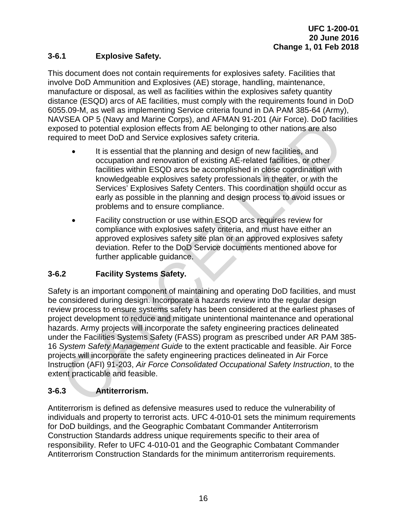# <span id="page-24-0"></span>**3-6.1 Explosive Safety.**

This document does not contain requirements for explosives safety. Facilities that involve DoD Ammunition and Explosives (AE) storage, handling, maintenance, manufacture or disposal, as well as facilities within the explosives safety quantity distance (ESQD) arcs of AE facilities, must comply with the requirements found in DoD 6055.09-M, as well as implementing Service criteria found in DA PAM 385-64 (Army), NAVSEA OP 5 (Navy and Marine Corps), and AFMAN 91-201 (Air Force). DoD facilities exposed to potential explosion effects from AE belonging to other nations are also required to meet DoD and Service explosives safety criteria.

- It is essential that the planning and design of new facilities, and occupation and renovation of existing AE-related facilities, or other facilities within ESQD arcs be accomplished in close coordination with knowledgeable explosives safety professionals in theater, or with the Services' Explosives Safety Centers. This coordination should occur as early as possible in the planning and design process to avoid issues or problems and to ensure compliance.
- Facility construction or use within ESQD arcs requires review for compliance with explosives safety criteria, and must have either an approved explosives safety site plan or an approved explosives safety deviation. Refer to the DoD Service documents mentioned above for further applicable guidance.

#### <span id="page-24-1"></span>**3-6.2 Facility Systems Safety.**

Safety is an important component of maintaining and operating DoD facilities, and must be considered during design. Incorporate a hazards review into the regular design review process to ensure systems safety has been considered at the earliest phases of project development to reduce and mitigate unintentional maintenance and operational hazards. Army projects will incorporate the safety engineering practices delineated under the Facilities Systems Safety (FASS) program as prescribed under AR PAM 385- 16 *System Safety Management Guide* to the extent practicable and feasible. Air Force projects will incorporate the safety engineering practices delineated in Air Force Instruction (AFI) 91-203, *Air Force Consolidated Occupational Safety Instruction*, to the extent practicable and feasible. Control of the main of the main of the sensile and the sensile of the radions are also<br>cosed to potential explosion effects from AE belonging to other nations are also<br>lined to meet DoD and Service explosives safely orite

#### <span id="page-24-2"></span>**3-6.3 Antiterrorism.**

Antiterrorism is defined as defensive measures used to reduce the vulnerability of individuals and property to terrorist acts. UFC 4-010-01 sets the minimum requirements for DoD buildings, and the Geographic Combatant Commander Antiterrorism Construction Standards address unique requirements specific to their area of responsibility. Refer to UFC 4-010-01 and the Geographic Combatant Commander Antiterrorism Construction Standards for the minimum antiterrorism requirements.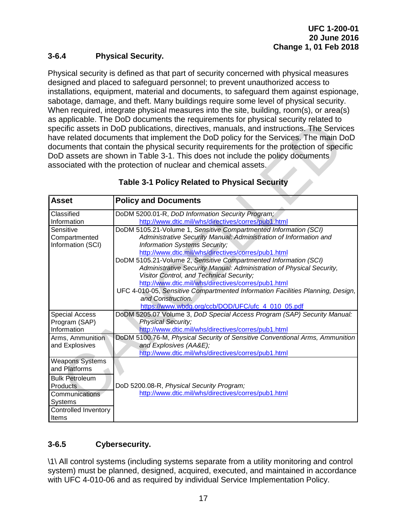# <span id="page-25-0"></span>**3-6.4 Physical Security.**

Physical security is defined as that part of security concerned with physical measures designed and placed to safeguard personnel; to prevent unauthorized access to installations, equipment, material and documents, to safeguard them against espionage, sabotage, damage, and theft. Many buildings require some level of physical security. When required, integrate physical measures into the site, building, room(s), or area(s) as applicable. The DoD documents the requirements for physical security related to specific assets in DoD publications, directives, manuals, and instructions. The Services have related documents that implement the DoD policy for the Services. The main DoD documents that contain the physical security requirements for the protection of specific DoD assets are shown in Table 3-1. This does not include the policy documents associated with the protection of nuclear and chemical assets.

|                                                       | as applicable. The DoD accuracity the requirements for privated security related to<br>specific assets in DoD publications, directives, manuals, and instructions. The Services<br>have related documents that implement the DoD policy for the Services. The main DoD<br>documents that contain the physical security requirements for the protection of specific<br>DoD assets are shown in Table 3-1. This does not include the policy documents<br>associated with the protection of nuclear and chemical assets. |
|-------------------------------------------------------|-----------------------------------------------------------------------------------------------------------------------------------------------------------------------------------------------------------------------------------------------------------------------------------------------------------------------------------------------------------------------------------------------------------------------------------------------------------------------------------------------------------------------|
|                                                       | <b>Table 3-1 Policy Related to Physical Security</b>                                                                                                                                                                                                                                                                                                                                                                                                                                                                  |
| <b>Asset</b>                                          | <b>Policy and Documents</b>                                                                                                                                                                                                                                                                                                                                                                                                                                                                                           |
| Classified                                            | DoDM 5200.01-R, DoD Information Security Program;                                                                                                                                                                                                                                                                                                                                                                                                                                                                     |
| Information                                           | http://www.dtic.mil/whs/directives/corres/pub1.html                                                                                                                                                                                                                                                                                                                                                                                                                                                                   |
| Sensitive<br>Compartmented<br>Information (SCI)       | DoDM 5105.21-Volume 1, Sensitive Compartmented Information (SCI)<br>Administrative Security Manual: Administration of Information and<br><b>Information Systems Security;</b>                                                                                                                                                                                                                                                                                                                                         |
|                                                       | http://www.dtic.mil/whs/directives/corres/pub1.html<br>DoDM 5105.21-Volume 2, Sensitive Compartmented Information (SCI)<br>Administrative Security Manual: Administration of Physical Security,<br>Visitor Control, and Technical Security;<br>http://www.dtic.mil/whs/directives/corres/pub1.html                                                                                                                                                                                                                    |
|                                                       | UFC 4-010-05, Sensitive Compartmented Information Facilities Planning, Design,<br>and Construction.<br>https://www.wbdg.org/ccb/DOD/UFC/ufc_4_010_05.pdf                                                                                                                                                                                                                                                                                                                                                              |
| <b>Special Access</b><br>Program (SAP)<br>Information | DoDM 5205.07 Volume 3, DoD Special Access Program (SAP) Security Manual:<br><b>Physical Security;</b><br>http://www.dtic.mil/whs/directives/corres/pub1.html                                                                                                                                                                                                                                                                                                                                                          |
| Arms, Ammunition<br>and Explosives                    | DoDM 5100.76-M, Physical Security of Sensitive Conventional Arms, Ammunition<br>and Explosives (AA&E);<br>http://www.dtic.mil/whs/directives/corres/pub1.html                                                                                                                                                                                                                                                                                                                                                         |
| <b>Weapons Systems</b><br>and Platforms               |                                                                                                                                                                                                                                                                                                                                                                                                                                                                                                                       |
| <b>Bulk Petroleum</b>                                 |                                                                                                                                                                                                                                                                                                                                                                                                                                                                                                                       |
| Products                                              | DoD 5200.08-R, Physical Security Program;<br>http://www.dtic.mil/whs/directives/corres/pub1.html                                                                                                                                                                                                                                                                                                                                                                                                                      |
| Communications                                        |                                                                                                                                                                                                                                                                                                                                                                                                                                                                                                                       |
| <b>Systems</b><br><b>Controlled Inventory</b>         |                                                                                                                                                                                                                                                                                                                                                                                                                                                                                                                       |
| Items                                                 |                                                                                                                                                                                                                                                                                                                                                                                                                                                                                                                       |

# **Table 3-1 Policy Related to Physical Security**

# <span id="page-25-1"></span>**3-6.5 Cybersecurity.**

\1\ All control systems (including systems separate from a utility monitoring and control system) must be planned, designed, acquired, executed, and maintained in accordance with UFC 4-010-06 and as required by individual Service Implementation Policy.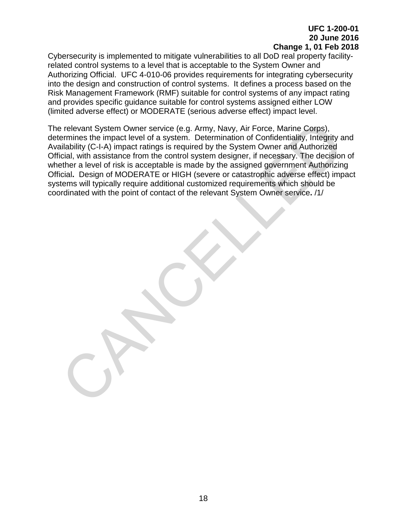Cybersecurity is implemented to mitigate vulnerabilities to all DoD real property facilityrelated control systems to a level that is acceptable to the System Owner and Authorizing Official. UFC 4-010-06 provides requirements for integrating cybersecurity into the design and construction of control systems. It defines a process based on the Risk Management Framework (RMF) suitable for control systems of any impact rating and provides specific guidance suitable for control systems assigned either LOW (limited adverse effect) or MODERATE (serious adverse effect) impact level.

The relevant System Owner service (e.g. Army, Navy, Air Force, Marine Corps), determines the impact level of a system.Determination of Confidentiality, Integrity and Availability (C-I-A) impact ratings is required by the System Owner and Authorized Official, with assistance from the control system designer, if necessary. The decision of whether a level of risk is acceptable is made by the assigned government Authorizing Official**.** Design of MODERATE or HIGH (severe or catastrophic adverse effect) impact systems will typically require additional customized requirements which should be coordinated with the point of contact of the relevant System Owner service**.** /1/ relevant System Owner service (e.g. Army, Navy, Air Force, Marine Corps),<br>ermines the impact level of a system. Determination of Confidentiality, Integrity<br>ailability (C-I-A) impact ratings is required by the System Owner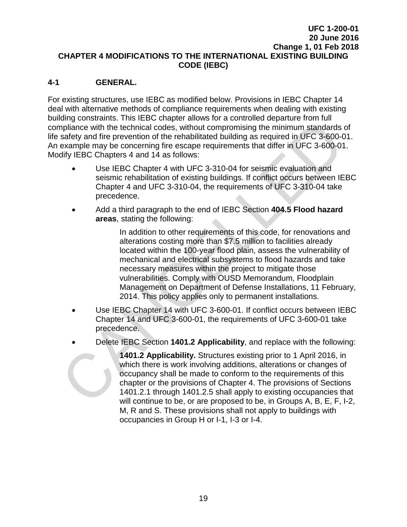#### **UFC 1-200-01 20 June 2016 Change 1, 01 Feb 2018 CHAPTER 4 MODIFICATIONS TO THE INTERNATIONAL EXISTING BUILDING CODE (IEBC)**

#### <span id="page-27-1"></span><span id="page-27-0"></span>**4-1 GENERAL.**

For existing structures, use IEBC as modified below. Provisions in IEBC Chapter 14 deal with alternative methods of compliance requirements when dealing with existing building constraints. This IEBC chapter allows for a controlled departure from full compliance with the technical codes, without compromising the minimum standards of life safety and fire prevention of the rehabilitated building as required in UFC 3-600-01. An example may be concerning fire escape requirements that differ in UFC 3-600-01. Modify IEBC Chapters 4 and 14 as follows:

- Use IEBC Chapter 4 with UFC 3-310-04 for seismic evaluation and seismic rehabilitation of existing buildings. If conflict occurs between IEBC Chapter 4 and UFC 3-310-04, the requirements of UFC 3-310-04 take precedence.
- Add a third paragraph to the end of IEBC Section **404.5 Flood hazard areas**, stating the following:

In addition to other requirements of this code, for renovations and alterations costing more than \$7.5 million to facilities already located within the 100-year flood plain, assess the vulnerability of mechanical and electrical subsystems to flood hazards and take necessary measures within the project to mitigate those vulnerabilities. Comply with OUSD Memorandum, Floodplain Management on Department of Defense Installations, 11 February, 2014. This policy applies only to permanent installations. main the technical codes, without compromising the minimum standards safety and fite prevention of the rehabilitated building as requirements and the T-C 3-600-01<br>sexample may be concerning fire escape requirements that di

- Use IEBC Chapter 14 with UFC 3-600-01. If conflict occurs between IEBC Chapter 14 and UFC 3-600-01, the requirements of UFC 3-600-01 take precedence.
- Delete IEBC Section **1401.2 Applicability**, and replace with the following:

**1401.2 Applicability.** Structures existing prior to 1 April 2016, in which there is work involving additions, alterations or changes of occupancy shall be made to conform to the requirements of this chapter or the provisions of Chapter 4. The provisions of Sections 1401.2.1 through 1401.2.5 shall apply to existing occupancies that will continue to be, or are proposed to be, in Groups A, B, E, F, I-2, M, R and S. These provisions shall not apply to buildings with occupancies in Group H or I-1, I-3 or I-4.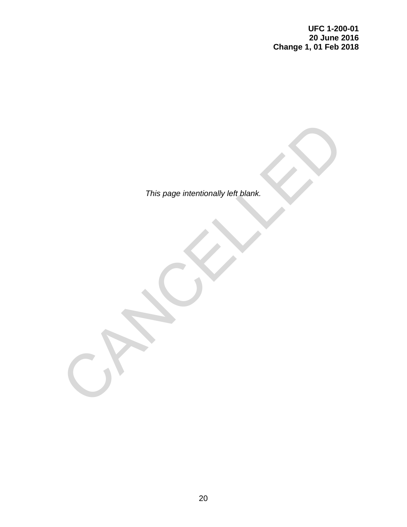*This page intentionally left blank.* This page intentionally left blank.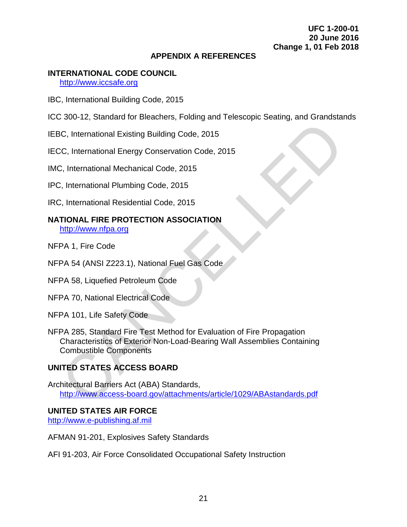#### **APPENDIX A REFERENCES**

#### <span id="page-29-0"></span>**INTERNATIONAL CODE COUNCIL**

[http://www.iccsafe.org](http://www.iccsafe.org/)

- IBC, International Building Code, 2015
- ICC 300-12, Standard for Bleachers, Folding and Telescopic Seating, and Grandstands
- IEBC, International Existing Building Code, 2015
- IECC, International Energy Conservation Code, 2015
- IMC, International Mechanical Code, 2015
- IPC, International Plumbing Code, 2015
- IRC, International Residential Code, 2015

#### **NATIONAL FIRE PROTECTION ASSOCIATION** http://www.nfpa.org

- NFPA 1, Fire Code
- NFPA 54 (ANSI Z223.1), National Fuel Gas Code
- NFPA 58, Liquefied Petroleum Code
- NFPA 70, National Electrical Code
- NFPA 101, Life Safety Code
- NFPA 285, Standard Fire Test Method for Evaluation of Fire Propagation Characteristics of Exterior Non-Load-Bearing Wall Assemblies Containing Combustible Components [C](http://www.access-board.gov/attachments/article/1029/ABAstandards.pdf), International Existing Building Code, 2015<br>
C, International Energy Conservation Code, 2015<br>
2, International Mechanical Code, 2015<br>
1, International Plumbing Code, 2015<br>
1, International Residential Code, 2015<br> **TIONAL**

#### **UNITED STATES ACCESS BOARD**

Architectural Barriers Act (ABA) Standards, http://www.access-board.gov/attachments/article/1029/ABAstandards.pdf

#### **UNITED STATES AIR FORCE**

[http://www.e-publishing.af.mil](http://www.e-publishing.af.mil/)

AFMAN 91-201, Explosives Safety Standards

AFI 91-203, Air Force Consolidated Occupational Safety Instruction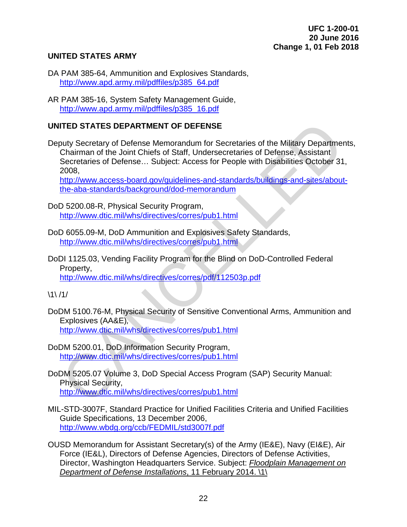#### **UNITED STATES ARMY**

DA PAM 385-64, Ammunition and Explosives Standards, [http://www.apd.army.mil/pdffiles/p385\\_64.pdf](http://www.apd.army.mil/pdffiles/p385_64.pdf)

AR PAM 385-16, System Safety Management Guide, [http://www.apd.army.mil/pdffiles/p385\\_16.pdf](http://www.apd.army.mil/pdffiles/p385_16.pdf)

#### **UNITED STATES DEPARTMENT OF DEFENSE**

Deputy Secretary of Defense Memorandum for Secretaries of the Military Departments, Chairman of the Joint Chiefs of Staff, Undersecretaries of Defense, Assistant Secretaries of Defense… Subject: Access for People with Disabilities October 31, 2008, ITED STATES DEPARTMENT OF DEFENSE<br>
coulty Secretary of Defense Memorandum for Secretaries of the Military Departme<br> [C](http://www.dtic.mil/whs/directives/corres/pdf/112503p.pdf)hairman of the Joint Chiefs of Staff, Undersecretaries of Defense, Assistant<br>
Secretaries of Defense... S

http://www.access-board.gov/guidelines-and-standards/buildings-and-sites/aboutthe-aba-standards/background/dod-memorandum

DoD 5200.08-R, Physical Security Program, http://www.dtic.mil/whs/directives/corres/pub1.html

- DoD 6055.09-M, DoD Ammunition and Explosives Safety Standards, http://www.dtic.mil/whs/directives/corres/pub1.html
- DoDI 1125.03, Vending Facility Program for the Blind on DoD-Controlled Federal Property, http://www.dtic.mil/whs/directives/corres/pdf/112503p.pdf

 $\1\/1/$ 

DoDM 5100.76-M, Physical Security of Sensitive Conventional Arms, Ammunition and Explosives (AA&E)*,* http://www.dtic.mil/whs/directives/corres/pub1.html

DoDM 5200.01, DoD Information Security Program, http://www.dtic.mil/whs/directives/corres/pub1.html

- DoDM 5205.07 Volume 3, DoD Special Access Program (SAP) Security Manual: Physical Security, http://www.dtic.mil/whs/directives/corres/pub1.html
- MIL-STD-3007F, Standard Practice for Unified Facilities Criteria and Unified Facilities Guide Specifications, 13 December 2006, <http://www.wbdg.org/ccb/FEDMIL/std3007f.pdf>
- OUSD Memorandum for Assistant Secretary(s) of the Army (IE&E), Navy (EI&E), Air Force (IE&L), Directors of Defense Agencies, Directors of Defense Activities, Director, Washington Headquarters Service. Subject: *Floodplain Management on Department of Defense Installations*, 11 February 2014. \1\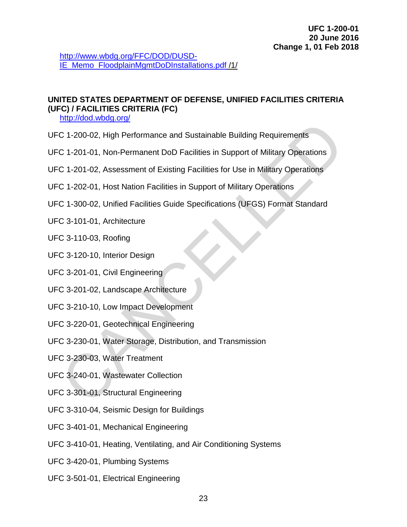[http://www.wbdg.org/FFC/DOD/DUSD-](http://www.wbdg.org/FFC/DOD/DUSD-IE_Memo_FloodplainMgmtDoDInstallations.pdf)[IE\\_Memo\\_FloodplainMgmtDoDInstallations.pdf](http://www.wbdg.org/FFC/DOD/DUSD-IE_Memo_FloodplainMgmtDoDInstallations.pdf) /1/

# **UNITED STATES DEPARTMENT OF DEFENSE, UNIFIED FACILITIES CRITERIA (UFC) / FACILITIES CRITERIA (FC)**

http://dod.wbdg.org/

- UFC 1-200-02, High Performance and Sustainable Building Requirements
- UFC 1-201-01, Non-Permanent DoD Facilities in Support of Military Operations C 1-200-02, High Performance and Sustainable Building Requirements<br>
C 1-201-01, Non-Permanent DoD Facilities in Support of Military Operations<br>
C 1-201-02, Assessment of Existing Facilities for Use in Military Operations<br>
- UFC 1-201-02, Assessment of Existing Facilities for Use in Military Operations
- UFC 1-202-01, Host Nation Facilities in Support of Military Operations
- UFC 1-300-02, Unified Facilities Guide Specifications (UFGS) Format Standard
- UFC 3-101-01, Architecture
- UFC 3-110-03, Roofing
- UFC 3-120-10, Interior Design
- UFC 3-201-01, Civil Engineering
- UFC 3-201-02, Landscape Architecture
- UFC 3-210-10, Low Impact Development
- UFC 3-220-01, Geotechnical Engineering
- UFC 3-230-01, Water Storage, Distribution, and Transmission
- UFC 3-230-03, Water Treatment
- UFC 3-240-01, Wastewater Collection
- UFC 3-301-01, Structural Engineering
- UFC 3-310-04, Seismic Design for Buildings
- UFC 3-401-01, Mechanical Engineering
- UFC 3-410-01, Heating, Ventilating, and Air Conditioning Systems
- UFC 3-420-01, Plumbing Systems
- UFC 3-501-01, Electrical Engineering